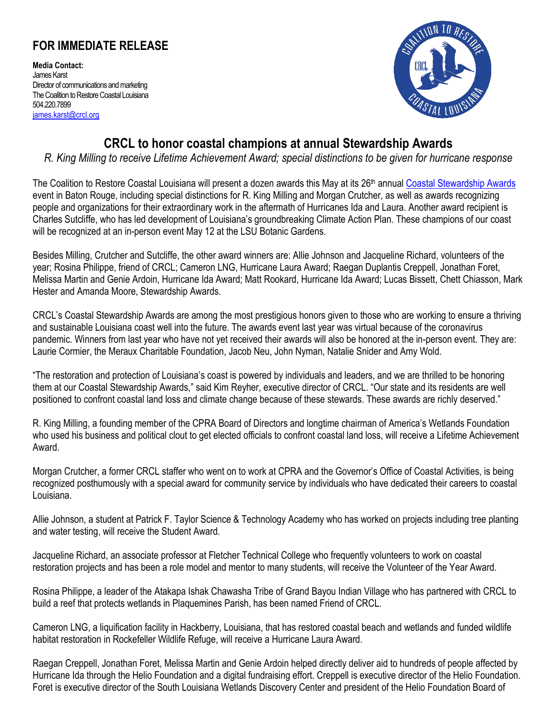## **FOR IMMEDIATE RELEASE**

**Media Contact:** James Karst Director of communications and marketing The Coalition to Restore Coastal Louisiana 504.220.7899 [james.karst@crcl.org](mailto:james.karst@crcl.org)



## **CRCL to honor coastal champions at annual Stewardship Awards**

*R. King Milling to receive Lifetime Achievement Award; special distinctions to be given for hurricane response*

The Coalition to Restore Coastal Louisiana will present a dozen awards this May at its 26<sup>th</sup> annual [Coastal Stewardship](https://www.crcl.org/coastal-stewardship-awards) Awards event in Baton Rouge, including special distinctions for R. King Milling and Morgan Crutcher, as well as awards recognizing people and organizations for their extraordinary work in the aftermath of Hurricanes Ida and Laura. Another award recipient is Charles Sutcliffe, who has led development of Louisiana's groundbreaking Climate Action Plan. These champions of our coast will be recognized at an in-person event May 12 at the LSU Botanic Gardens.

Besides Milling, Crutcher and Sutcliffe, the other award winners are: Allie Johnson and Jacqueline Richard, volunteers of the year; Rosina Philippe, friend of CRCL; Cameron LNG, Hurricane Laura Award; Raegan Duplantis Creppell, Jonathan Foret, Melissa Martin and Genie Ardoin, Hurricane Ida Award; Matt Rookard, Hurricane Ida Award; Lucas Bissett, Chett Chiasson, Mark Hester and Amanda Moore, Stewardship Awards.

CRCL's Coastal Stewardship Awards are among the most prestigious honors given to those who are working to ensure a thriving and sustainable Louisiana coast well into the future. The awards event last year was virtual because of the coronavirus pandemic. Winners from last year who have not yet received their awards will also be honored at the in-person event. They are: Laurie Cormier, the Meraux Charitable Foundation, Jacob Neu, John Nyman, Natalie Snider and Amy Wold.

"The restoration and protection of Louisiana's coast is powered by individuals and leaders, and we are thrilled to be honoring them at our Coastal Stewardship Awards," said Kim Reyher, executive director of CRCL. "Our state and its residents are well positioned to confront coastal land loss and climate change because of these stewards. These awards are richly deserved."

R. King Milling, a founding member of the CPRA Board of Directors and longtime chairman of America's Wetlands Foundation who used his business and political clout to get elected officials to confront coastal land loss, will receive a Lifetime Achievement Award.

Morgan Crutcher, a former CRCL staffer who went on to work at CPRA and the Governor's Office of Coastal Activities, is being recognized posthumously with a special award for community service by individuals who have dedicated their careers to coastal Louisiana.

Allie Johnson, a student at Patrick F. Taylor Science & Technology Academy who has worked on projects including tree planting and water testing, will receive the Student Award.

Jacqueline Richard, an associate professor at Fletcher Technical College who frequently volunteers to work on coastal restoration projects and has been a role model and mentor to many students, will receive the Volunteer of the Year Award.

Rosina Philippe, a leader of the Atakapa Ishak Chawasha Tribe of Grand Bayou Indian Village who has partnered with CRCL to build a reef that protects wetlands in Plaquemines Parish, has been named Friend of CRCL.

Cameron LNG, a liquification facility in Hackberry, Louisiana, that has restored coastal beach and wetlands and funded wildlife habitat restoration in Rockefeller Wildlife Refuge, will receive a Hurricane Laura Award.

Raegan Creppell, Jonathan Foret, Melissa Martin and Genie Ardoin helped directly deliver aid to hundreds of people affected by Hurricane Ida through the Helio Foundation and a digital fundraising effort. Creppell is executive director of the Helio Foundation. Foret is executive director of the South Louisiana Wetlands Discovery Center and president of the Helio Foundation Board of